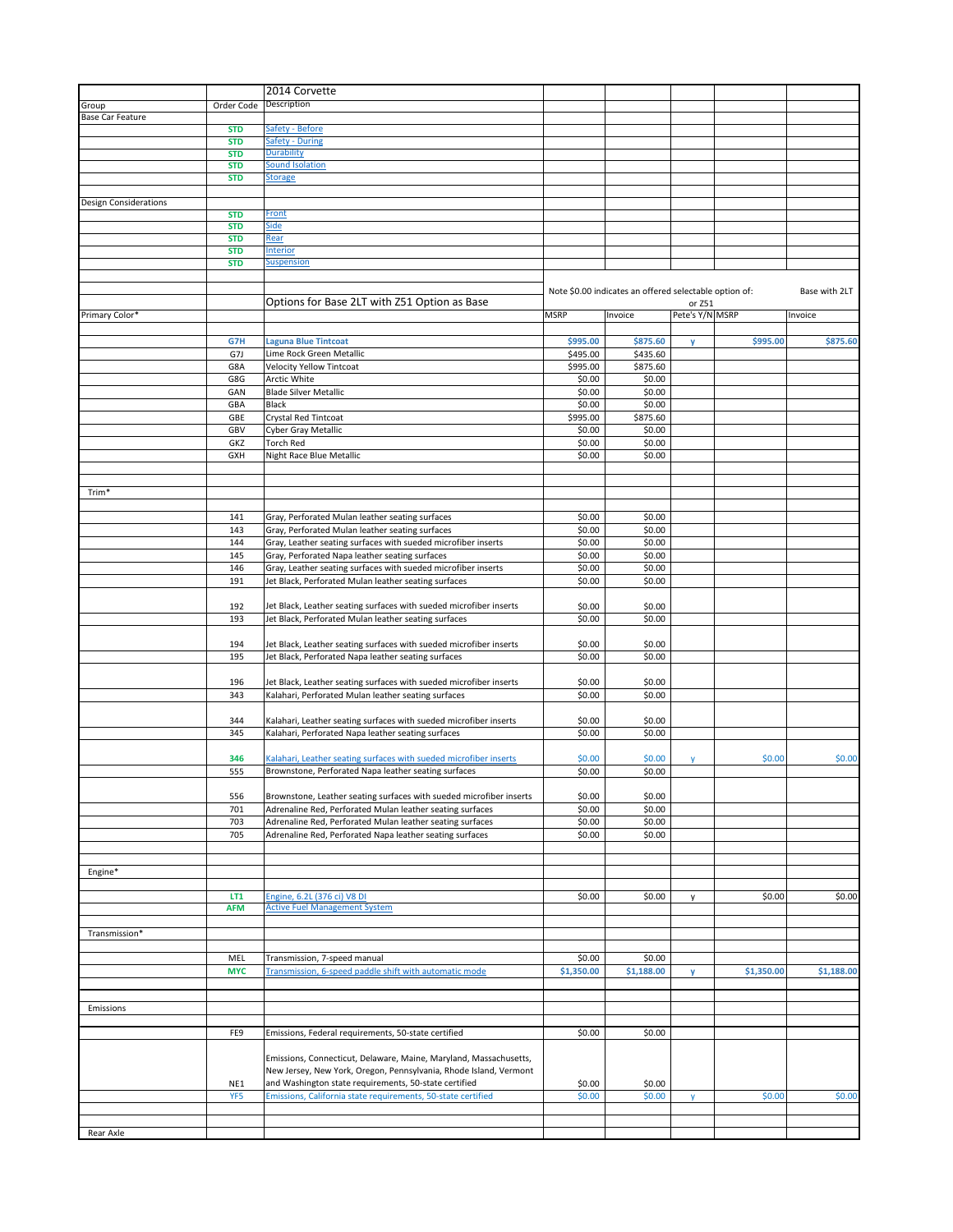|                              |                          | 2014 Corvette                                                       |                      |                                                        |                           |            |               |
|------------------------------|--------------------------|---------------------------------------------------------------------|----------------------|--------------------------------------------------------|---------------------------|------------|---------------|
| Group                        | Order Code               | Description                                                         |                      |                                                        |                           |            |               |
| <b>Base Car Feature</b>      |                          |                                                                     |                      |                                                        |                           |            |               |
|                              | <b>STD</b>               | Safety - Before                                                     |                      |                                                        |                           |            |               |
|                              | <b>STD</b>               | <b>Safety - During</b>                                              |                      |                                                        |                           |            |               |
|                              | <b>STD</b>               | Durability                                                          |                      |                                                        |                           |            |               |
|                              | <b>STD</b>               | Sound Isolation                                                     |                      |                                                        |                           |            |               |
|                              | <b>STD</b>               | <b>Storage</b>                                                      |                      |                                                        |                           |            |               |
|                              |                          |                                                                     |                      |                                                        |                           |            |               |
| <b>Design Considerations</b> |                          |                                                                     |                      |                                                        |                           |            |               |
|                              | <b>STD</b>               | Front                                                               |                      |                                                        |                           |            |               |
|                              | <b>STD</b>               | Side                                                                |                      |                                                        |                           |            |               |
|                              | <b>STD</b>               | Rear<br><b>Interior</b>                                             |                      |                                                        |                           |            |               |
|                              | <b>STD</b><br><b>STD</b> | <b>Suspension</b>                                                   |                      |                                                        |                           |            |               |
|                              |                          |                                                                     |                      |                                                        |                           |            |               |
|                              |                          |                                                                     |                      |                                                        |                           |            |               |
|                              |                          | Options for Base 2LT with Z51 Option as Base                        |                      | Note \$0.00 indicates an offered selectable option of: |                           |            | Base with 2LT |
| Primary Color*               |                          |                                                                     | <b>MSRP</b>          | Invoice                                                | or Z51<br>Pete's Y/N MSRP |            | Invoice       |
|                              |                          |                                                                     |                      |                                                        |                           |            |               |
|                              | G7H                      | <b>Laguna Blue Tintcoat</b>                                         | \$995.00             | \$875.60                                               |                           | \$995.00   | \$875.60      |
|                              |                          | Lime Rock Green Metallic                                            |                      |                                                        | y                         |            |               |
|                              | G7J<br>G8A               | <b>Velocity Yellow Tintcoat</b>                                     | \$495.00<br>\$995.00 | \$435.60<br>\$875.60                                   |                           |            |               |
|                              | G8G                      | Arctic White                                                        | \$0.00               | \$0.00                                                 |                           |            |               |
|                              | GAN                      | <b>Blade Silver Metallic</b>                                        | \$0.00               | \$0.00                                                 |                           |            |               |
|                              |                          | Black                                                               |                      | \$0.00                                                 |                           |            |               |
|                              | GBA<br>GBE               | Crystal Red Tintcoat                                                | \$0.00<br>\$995.00   | \$875.60                                               |                           |            |               |
|                              | GBV                      | <b>Cyber Gray Metallic</b>                                          | \$0.00               | \$0.00                                                 |                           |            |               |
|                              | GKZ                      | <b>Torch Red</b>                                                    | \$0.00               | \$0.00                                                 |                           |            |               |
|                              | <b>GXH</b>               | Night Race Blue Metallic                                            | \$0.00               | \$0.00                                                 |                           |            |               |
|                              |                          |                                                                     |                      |                                                        |                           |            |               |
|                              |                          |                                                                     |                      |                                                        |                           |            |               |
| Trim*                        |                          |                                                                     |                      |                                                        |                           |            |               |
|                              |                          |                                                                     |                      |                                                        |                           |            |               |
|                              | 141                      | Gray, Perforated Mulan leather seating surfaces                     | \$0.00               | \$0.00                                                 |                           |            |               |
|                              | 143                      | Gray, Perforated Mulan leather seating surfaces                     | \$0.00               | \$0.00                                                 |                           |            |               |
|                              | 144                      | Gray, Leather seating surfaces with sueded microfiber inserts       | \$0.00               | \$0.00                                                 |                           |            |               |
|                              | 145                      | Gray, Perforated Napa leather seating surfaces                      | \$0.00               | \$0.00                                                 |                           |            |               |
|                              | 146                      | Gray, Leather seating surfaces with sueded microfiber inserts       | \$0.00               | \$0.00                                                 |                           |            |               |
|                              | 191                      | Jet Black, Perforated Mulan leather seating surfaces                | \$0.00               | \$0.00                                                 |                           |            |               |
|                              |                          |                                                                     |                      |                                                        |                           |            |               |
|                              | 192                      | Jet Black, Leather seating surfaces with sueded microfiber inserts  | \$0.00               | \$0.00                                                 |                           |            |               |
|                              | 193                      | Jet Black, Perforated Mulan leather seating surfaces                | \$0.00               | \$0.00                                                 |                           |            |               |
|                              |                          |                                                                     |                      |                                                        |                           |            |               |
|                              | 194                      | Jet Black, Leather seating surfaces with sueded microfiber inserts  | \$0.00               | \$0.00                                                 |                           |            |               |
|                              | 195                      | Jet Black, Perforated Napa leather seating surfaces                 | \$0.00               | \$0.00                                                 |                           |            |               |
|                              |                          |                                                                     |                      |                                                        |                           |            |               |
|                              | 196                      | Jet Black, Leather seating surfaces with sueded microfiber inserts  | \$0.00               | \$0.00                                                 |                           |            |               |
|                              | 343                      | Kalahari, Perforated Mulan leather seating surfaces                 | \$0.00               | \$0.00                                                 |                           |            |               |
|                              |                          |                                                                     |                      |                                                        |                           |            |               |
|                              | 344                      | Kalahari, Leather seating surfaces with sueded microfiber inserts   | \$0.00               | \$0.00                                                 |                           |            |               |
|                              | 345                      | Kalahari, Perforated Napa leather seating surfaces                  | \$0.00               | \$0.00                                                 |                           |            |               |
|                              |                          |                                                                     |                      |                                                        |                           |            |               |
|                              | 346                      | Kalahari, Leather seating surfaces with sueded microfiber inserts   | \$0.00               | \$0.00                                                 | y                         | \$0.00     | \$0.00        |
|                              | 555                      | Brownstone, Perforated Napa leather seating surfaces                | \$0.00               | \$0.00                                                 |                           |            |               |
|                              |                          |                                                                     |                      |                                                        |                           |            |               |
|                              | 556                      | Brownstone, Leather seating surfaces with sueded microfiber inserts | \$0.00               | \$0.00                                                 |                           |            |               |
|                              | 701                      | Adrenaline Red, Perforated Mulan leather seating surfaces           | \$0.00               | \$0.00                                                 |                           |            |               |
|                              | 703                      | Adrenaline Red, Perforated Mulan leather seating surfaces           | \$0.00               | \$0.00                                                 |                           |            |               |
|                              | 705                      | Adrenaline Red, Perforated Napa leather seating surfaces            | \$0.00               | \$0.00                                                 |                           |            |               |
|                              |                          |                                                                     |                      |                                                        |                           |            |               |
|                              |                          |                                                                     |                      |                                                        |                           |            |               |
| Engine*                      |                          |                                                                     |                      |                                                        |                           |            |               |
|                              | LT1                      | Engine, 6.2L (376 ci) V8 DI                                         | \$0.00               | \$0.00                                                 |                           | \$0.00     | \$0.00        |
|                              | <b>AFM</b>               | <b>Active Fuel Management System</b>                                |                      |                                                        | y                         |            |               |
|                              |                          |                                                                     |                      |                                                        |                           |            |               |
| Transmission*                |                          |                                                                     |                      |                                                        |                           |            |               |
|                              |                          |                                                                     |                      |                                                        |                           |            |               |
|                              | MEL                      | Transmission, 7-speed manual                                        | \$0.00               | \$0.00                                                 |                           |            |               |
|                              | <b>MYC</b>               | Transmission, 6-speed paddle shift with automatic mode              | \$1,350.00           | \$1,188.00                                             | y                         | \$1,350.00 | \$1,188.00    |
|                              |                          |                                                                     |                      |                                                        |                           |            |               |
|                              |                          |                                                                     |                      |                                                        |                           |            |               |
| Emissions                    |                          |                                                                     |                      |                                                        |                           |            |               |
|                              |                          |                                                                     |                      |                                                        |                           |            |               |
|                              | FE9                      | Emissions, Federal requirements, 50-state certified                 | \$0.00               | \$0.00                                                 |                           |            |               |
|                              |                          |                                                                     |                      |                                                        |                           |            |               |
|                              |                          | Emissions, Connecticut, Delaware, Maine, Maryland, Massachusetts,   |                      |                                                        |                           |            |               |
|                              |                          | New Jersey, New York, Oregon, Pennsylvania, Rhode Island, Vermont   |                      |                                                        |                           |            |               |
|                              | NE1                      | and Washington state requirements, 50-state certified               | \$0.00               | \$0.00                                                 |                           |            |               |
|                              | YF <sub>5</sub>          | Emissions, California state requirements, 50-state certified        | \$0.00               | \$0.00                                                 | y                         | \$0.00     | \$0.00        |
|                              |                          |                                                                     |                      |                                                        |                           |            |               |
|                              |                          |                                                                     |                      |                                                        |                           |            |               |
| Rear Axle                    |                          |                                                                     |                      |                                                        |                           |            |               |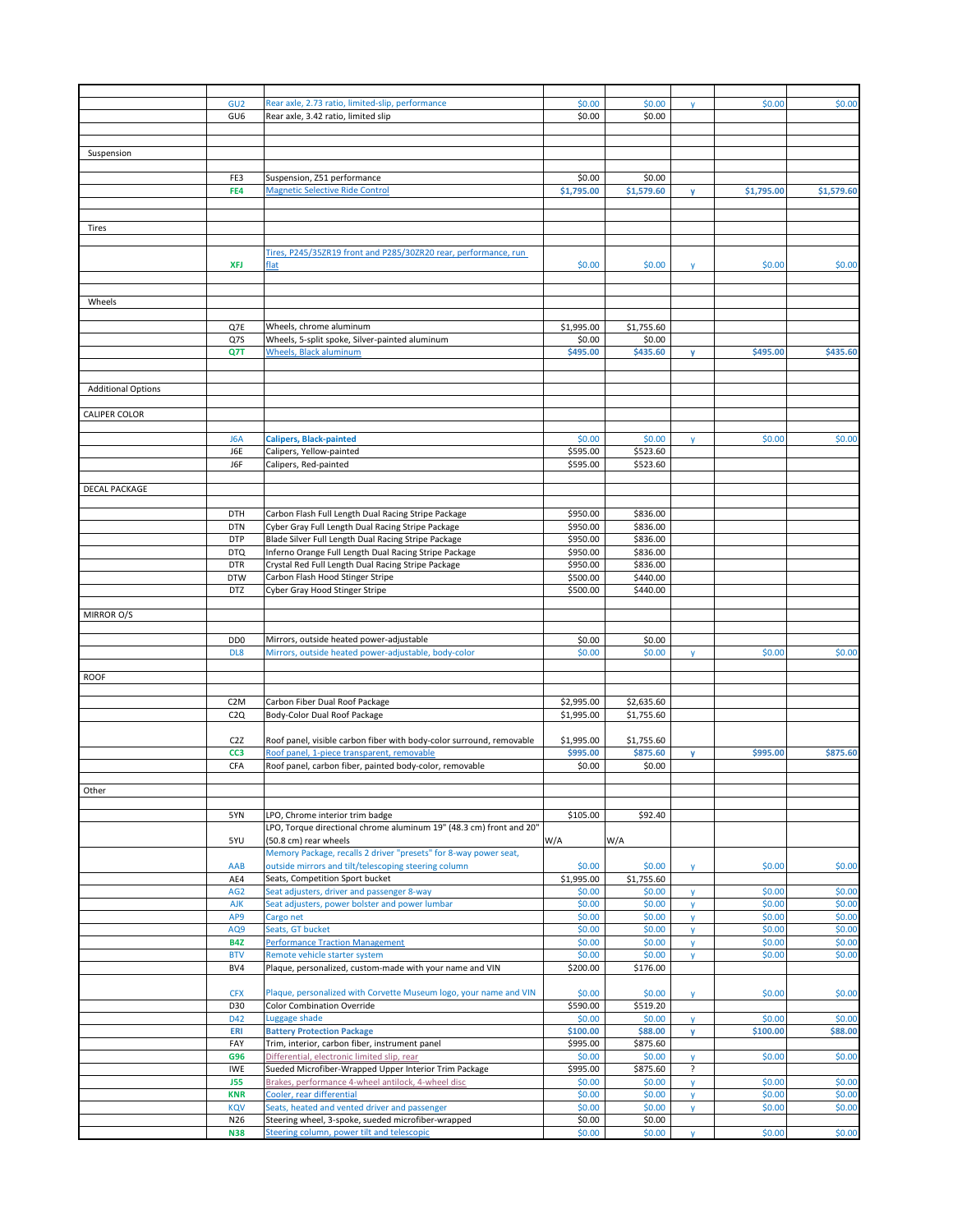|                           | GU <sub>2</sub>  | Rear axle, 2.73 ratio, limited-slip, performance                     | \$0.00     | \$0.00     | $\mathsf{v}$ | \$0.00     | \$0.00     |
|---------------------------|------------------|----------------------------------------------------------------------|------------|------------|--------------|------------|------------|
|                           | GU <sub>6</sub>  | Rear axle, 3.42 ratio, limited slip                                  | \$0.00     | \$0.00     |              |            |            |
|                           |                  |                                                                      |            |            |              |            |            |
|                           |                  |                                                                      |            |            |              |            |            |
| Suspension                |                  |                                                                      |            |            |              |            |            |
|                           |                  |                                                                      |            |            |              |            |            |
|                           | FE3              | Suspension, Z51 performance                                          | \$0.00     | \$0.00     |              |            |            |
|                           | FE4              | <b>Magnetic Selective Ride Control</b>                               | \$1,795.00 | \$1,579.60 | y            | \$1,795.00 | \$1,579.60 |
|                           |                  |                                                                      |            |            |              |            |            |
|                           |                  |                                                                      |            |            |              |            |            |
| Tires                     |                  |                                                                      |            |            |              |            |            |
|                           |                  |                                                                      |            |            |              |            |            |
|                           |                  | Tires, P245/35ZR19 front and P285/30ZR20 rear, performance, run      |            |            |              |            |            |
|                           | <b>XFJ</b>       | flat                                                                 | \$0.00     | \$0.00     | y            | \$0.00     | \$0.00     |
|                           |                  |                                                                      |            |            |              |            |            |
|                           |                  |                                                                      |            |            |              |            |            |
|                           |                  |                                                                      |            |            |              |            |            |
| Wheels                    |                  |                                                                      |            |            |              |            |            |
|                           |                  |                                                                      |            |            |              |            |            |
|                           | Q7E              | Wheels, chrome aluminum                                              | \$1,995.00 | \$1,755.60 |              |            |            |
|                           | Q7S              | Wheels, 5-split spoke, Silver-painted aluminum                       | \$0.00     | \$0.00     |              |            |            |
|                           | Q7T              | Wheels, Black aluminum                                               | \$495.00   | \$435.60   | v            | \$495.00   | \$435.60   |
|                           |                  |                                                                      |            |            |              |            |            |
|                           |                  |                                                                      |            |            |              |            |            |
| <b>Additional Options</b> |                  |                                                                      |            |            |              |            |            |
|                           |                  |                                                                      |            |            |              |            |            |
| CALIPER COLOR             |                  |                                                                      |            |            |              |            |            |
|                           |                  |                                                                      |            |            |              |            |            |
|                           | J6A              | <b>Calipers, Black-painted</b>                                       | \$0.00     | \$0.00     | <b>y</b>     | \$0.00     | \$0.00     |
|                           | J6E              | Calipers, Yellow-painted                                             | \$595.00   | \$523.60   |              |            |            |
|                           | J6F              | Calipers, Red-painted                                                | \$595.00   | \$523.60   |              |            |            |
|                           |                  |                                                                      |            |            |              |            |            |
| DECAL PACKAGE             |                  |                                                                      |            |            |              |            |            |
|                           |                  |                                                                      |            |            |              |            |            |
|                           | DTH              | Carbon Flash Full Length Dual Racing Stripe Package                  | \$950.00   | \$836.00   |              |            |            |
|                           | <b>DTN</b>       | Cyber Gray Full Length Dual Racing Stripe Package                    | \$950.00   | \$836.00   |              |            |            |
|                           | <b>DTP</b>       | Blade Silver Full Length Dual Racing Stripe Package                  | \$950.00   | \$836.00   |              |            |            |
|                           | <b>DTQ</b>       | Inferno Orange Full Length Dual Racing Stripe Package                | \$950.00   | \$836.00   |              |            |            |
|                           |                  |                                                                      |            |            |              |            |            |
|                           | <b>DTR</b>       | Crystal Red Full Length Dual Racing Stripe Package                   | \$950.00   | \$836.00   |              |            |            |
|                           | <b>DTW</b>       | Carbon Flash Hood Stinger Stripe                                     | \$500.00   | \$440.00   |              |            |            |
|                           | <b>DTZ</b>       | Cyber Gray Hood Stinger Stripe                                       | \$500.00   | \$440.00   |              |            |            |
|                           |                  |                                                                      |            |            |              |            |            |
| MIRROR O/S                |                  |                                                                      |            |            |              |            |            |
|                           |                  |                                                                      |            |            |              |            |            |
|                           | D <sub>D</sub> O | Mirrors, outside heated power-adjustable                             | \$0.00     | \$0.00     |              |            |            |
|                           | DL8              | Mirrors, outside heated power-adjustable, body-color                 | \$0.00     | \$0.00     | y            | \$0.00     | \$0.00     |
|                           |                  |                                                                      |            |            |              |            |            |
| <b>ROOF</b>               |                  |                                                                      |            |            |              |            |            |
|                           |                  |                                                                      |            |            |              |            |            |
|                           | C <sub>2</sub> M | Carbon Fiber Dual Roof Package                                       | \$2,995.00 | \$2,635.60 |              |            |            |
|                           | C2Q              | Body-Color Dual Roof Package                                         | \$1,995.00 | \$1,755.60 |              |            |            |
|                           |                  |                                                                      |            |            |              |            |            |
|                           | C <sub>2</sub> Z | Roof panel, visible carbon fiber with body-color surround, removable | \$1,995.00 | \$1,755.60 |              |            |            |
|                           | CC <sub>3</sub>  | Roof panel, 1-piece transparent, removable                           | \$995.00   | \$875.60   |              | \$995.00   | \$875.60   |
|                           |                  |                                                                      |            |            | y            |            |            |
|                           | <b>CFA</b>       | Roof panel, carbon fiber, painted body-color, removable              | \$0.00     | \$0.00     |              |            |            |
|                           |                  |                                                                      |            |            |              |            |            |
| Other                     |                  |                                                                      |            |            |              |            |            |
|                           |                  |                                                                      |            |            |              |            |            |
|                           | 5YN              | LPO, Chrome interior trim badge                                      | \$105.00   | \$92.40    |              |            |            |
|                           |                  | LPO, Torque directional chrome aluminum 19" (48.3 cm) front and 20"  |            |            |              |            |            |
|                           | 5YU              | (50.8 cm) rear wheels                                                | W/A        | W/A        |              |            |            |
|                           |                  | Memory Package, recalls 2 driver "presets" for 8-way power seat,     |            |            |              |            |            |
|                           | AAB              | outside mirrors and tilt/telescoping steering column                 | \$0.00     | \$0.00     | y            | \$0.00     | \$0.00     |
|                           | AE4              | Seats, Competition Sport bucket                                      | \$1,995.00 | \$1,755.60 |              |            |            |
|                           | AG <sub>2</sub>  | Seat adjusters, driver and passenger 8-way                           | \$0.00     | \$0.00     | <b>y</b>     | \$0.00     | \$0.00     |
|                           | <b>AJK</b>       | Seat adjusters, power bolster and power lumbar                       | \$0.00     | \$0.00     | y            | \$0.00     | \$0.00     |
|                           | AP9              | Cargo net                                                            | \$0.00     | \$0.00     | y            | \$0.00     | \$0.00     |
|                           | AQ9              | Seats, GT bucket                                                     | \$0.00     | \$0.00     | y            | \$0.00     | \$0.00     |
|                           | <b>B4Z</b>       | <b>Performance Traction Management</b>                               | \$0.00     | \$0.00     | y            | \$0.00     | \$0.00     |
|                           | <b>BTV</b>       | Remote vehicle starter system                                        | \$0.00     | \$0.00     | $\mathsf{v}$ | \$0.00     | \$0.00     |
|                           | BV4              | Plaque, personalized, custom-made with your name and VIN             | \$200.00   | \$176.00   |              |            |            |
|                           |                  |                                                                      |            |            |              |            |            |
|                           | <b>CFX</b>       | Plaque, personalized with Corvette Museum logo, your name and VIN    | \$0.00     | \$0.00     |              | \$0.00     | \$0.00     |
|                           | D30              |                                                                      | \$590.00   | \$519.20   | y            |            |            |
|                           |                  | <b>Color Combination Override</b>                                    |            |            |              |            |            |
|                           | D42              | Luggage shade                                                        | \$0.00     | \$0.00     | y            | \$0.00     | \$0.00     |
|                           | ERI              | <b>Battery Protection Package</b>                                    | \$100.00   | \$88.00    | y            | \$100.00   | \$88.00    |
|                           | FAY              | Trim, interior, carbon fiber, instrument panel                       | \$995.00   | \$875.60   |              |            |            |
|                           | G96              | Differential, electronic limited slip, rear                          | \$0.00     | \$0.00     | y            | \$0.00     | \$0.00     |
|                           | IWE              | Sueded Microfiber-Wrapped Upper Interior Trim Package                | \$995.00   | \$875.60   | ?            |            |            |
|                           | <b>J55</b>       | Brakes, performance 4-wheel antilock, 4-wheel disc                   | \$0.00     | \$0.00     | y            | \$0.00     | \$0.00     |
|                           | <b>KNR</b>       | Cooler, rear differential                                            | \$0.00     | \$0.00     | y            | \$0.00     | \$0.00     |
|                           | KQV              | Seats, heated and vented driver and passenger                        | \$0.00     | \$0.00     | y            | \$0.00     | \$0.00     |
|                           | N26              | Steering wheel, 3-spoke, sueded microfiber-wrapped                   | \$0.00     | \$0.00     |              |            |            |
|                           | <b>N38</b>       | Steering column, power tilt and telescopic                           | \$0.00     | \$0.00     | <b>y</b>     | \$0.00     | \$0.00     |